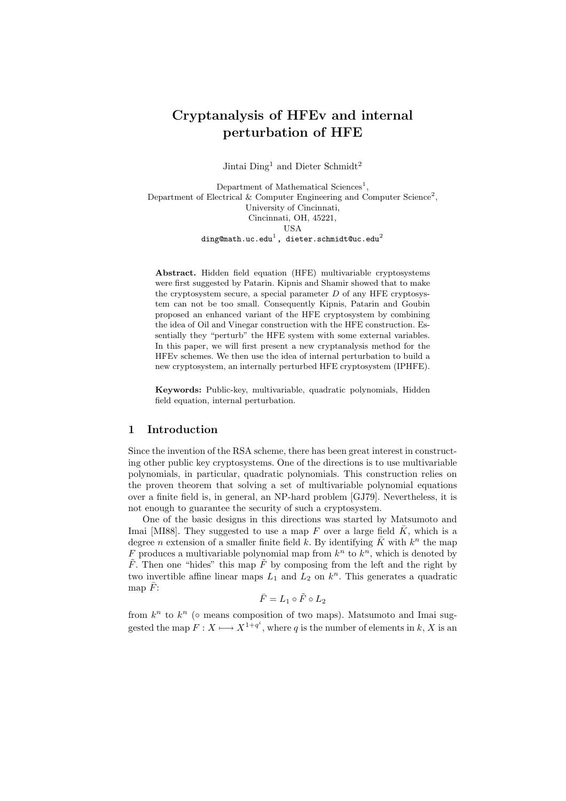# Cryptanalysis of HFEv and internal perturbation of HFE

Jintai  $\text{Ding}^1$  and  $\text{Dieter Schmidt}^2$ 

Department of Mathematical Sciences<sup>1</sup>, Department of Electrical & Computer Engineering and Computer Science<sup>2</sup>, University of Cincinnati, Cincinnati, OH, 45221, USA ding@math.uc.edu $^{\rm l}$ , dieter.schmidt@uc.edu $^{\rm 2}$ 

Abstract. Hidden field equation (HFE) multivariable cryptosystems were first suggested by Patarin. Kipnis and Shamir showed that to make the cryptosystem secure, a special parameter  $D$  of any HFE cryptosystem can not be too small. Consequently Kipnis, Patarin and Goubin proposed an enhanced variant of the HFE cryptosystem by combining the idea of Oil and Vinegar construction with the HFE construction. Essentially they "perturb" the HFE system with some external variables. In this paper, we will first present a new cryptanalysis method for the HFEv schemes. We then use the idea of internal perturbation to build a new cryptosystem, an internally perturbed HFE cryptosystem (IPHFE).

Keywords: Public-key, multivariable, quadratic polynomials, Hidden field equation, internal perturbation.

## 1 Introduction

Since the invention of the RSA scheme, there has been great interest in constructing other public key cryptosystems. One of the directions is to use multivariable polynomials, in particular, quadratic polynomials. This construction relies on the proven theorem that solving a set of multivariable polynomial equations over a finite field is, in general, an NP-hard problem [GJ79]. Nevertheless, it is not enough to guarantee the security of such a cryptosystem.

One of the basic designs in this directions was started by Matsumoto and Imai [MI88]. They suggested to use a map F over a large field  $\overline{K}$ , which is a degree *n* extension of a smaller finite field k. By identifying  $\overline{K}$  with  $k^n$  the map F produces a multivariable polynomial map from  $k^n$  to  $k^n$ , which is denoted by  $F$ . Then one "hides" this map  $F$  by composing from the left and the right by two invertible affine linear maps  $L_1$  and  $L_2$  on  $k^n$ . This generates a quadratic map  $\bar{F}$ :

$$
\bar{F} = L_1 \circ \tilde{F} \circ L_2
$$

from  $k^n$  to  $k^n$  ( $\circ$  means composition of two maps). Matsumoto and Imai suggested the map  $F: X \longmapsto X^{1+q^i}$ , where q is the number of elements in k, X is an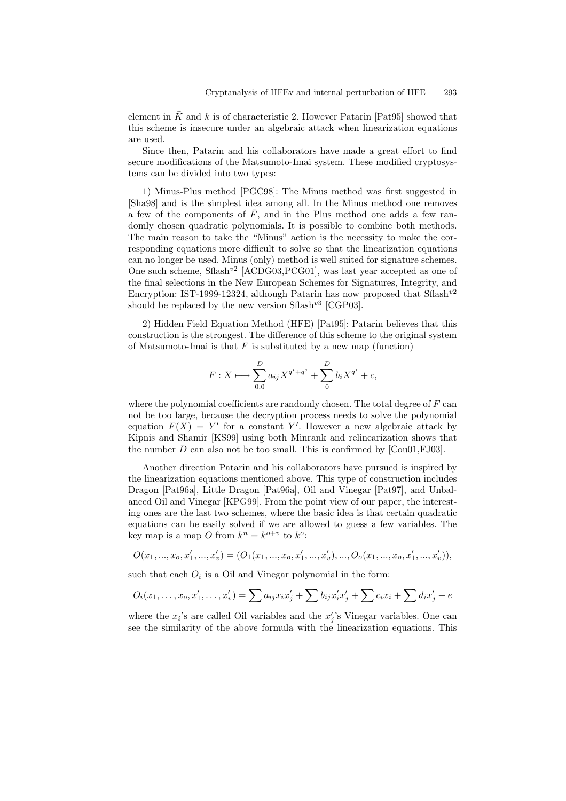element in K and k is of characteristic 2. However Patarin [Pat95] showed that this scheme is insecure under an algebraic attack when linearization equations are used.

Since then, Patarin and his collaborators have made a great effort to find secure modifications of the Matsumoto-Imai system. These modified cryptosystems can be divided into two types:

1) Minus-Plus method [PGC98]: The Minus method was first suggested in [Sha98] and is the simplest idea among all. In the Minus method one removes a few of the components of  $\overline{F}$ , and in the Plus method one adds a few randomly chosen quadratic polynomials. It is possible to combine both methods. The main reason to take the "Minus" action is the necessity to make the corresponding equations more difficult to solve so that the linearization equations can no longer be used. Minus (only) method is well suited for signature schemes. One such scheme, Sflash<sup>v2</sup> [ACDG03,PCG01], was last year accepted as one of the final selections in the New European Schemes for Signatures, Integrity, and Encryption: IST-1999-12324, although Patarin has now proposed that  $Sflash^{v2}$ should be replaced by the new version  $Sflash^{v3}$  [CGP03].

2) Hidden Field Equation Method (HFE) [Pat95]: Patarin believes that this construction is the strongest. The difference of this scheme to the original system of Matsumoto-Imai is that  $F$  is substituted by a new map (function)

$$
F: X \longmapsto \sum_{0,0}^{D} a_{ij} X^{q^i + q^j} + \sum_{0}^{D} b_i X^{q^i} + c,
$$

where the polynomial coefficients are randomly chosen. The total degree of  $F$  can not be too large, because the decryption process needs to solve the polynomial equation  $F(X) = Y'$  for a constant Y'. However a new algebraic attack by Kipnis and Shamir [KS99] using both Minrank and relinearization shows that the number  $D$  can also not be too small. This is confirmed by [Cou01,FJ03].

Another direction Patarin and his collaborators have pursued is inspired by the linearization equations mentioned above. This type of construction includes Dragon [Pat96a], Little Dragon [Pat96a], Oil and Vinegar [Pat97], and Unbalanced Oil and Vinegar [KPG99]. From the point view of our paper, the interesting ones are the last two schemes, where the basic idea is that certain quadratic equations can be easily solved if we are allowed to guess a few variables. The key map is a map O from  $k^n = k^{o+v}$  to  $k^o$ :

$$
O(x_1,...,x_o,x_1',...,x_v') = \big(O_1(x_1,...,x_o,x_1',...,x_v'),...,O_o(x_1,...,x_o,x_1',...,x_v')\big),
$$

such that each  $O_i$  is a Oil and Vinegar polynomial in the form:

$$
O_i(x_1,...,x_o,x'_1,...,x'_v) = \sum a_{ij}x_ix'_j + \sum b_{ij}x'_ix'_j + \sum c_ix_i + \sum d_ix'_j + e_i
$$

where the  $x_i$ 's are called Oil variables and the  $x'_j$ 's Vinegar variables. One can see the similarity of the above formula with the linearization equations. This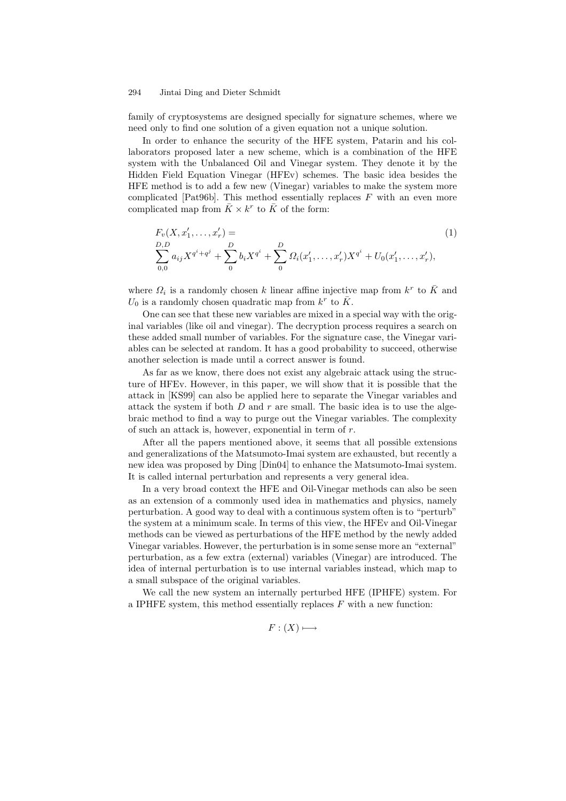family of cryptosystems are designed specially for signature schemes, where we need only to find one solution of a given equation not a unique solution.

In order to enhance the security of the HFE system, Patarin and his collaborators proposed later a new scheme, which is a combination of the HFE system with the Unbalanced Oil and Vinegar system. They denote it by the Hidden Field Equation Vinegar (HFEv) schemes. The basic idea besides the HFE method is to add a few new (Vinegar) variables to make the system more complicated [Pat96b]. This method essentially replaces  $F$  with an even more complicated map from  $\bar{K} \times k^r$  to  $\bar{K}$  of the form:

$$
F_v(X, x'_1, \dots, x'_r) =
$$
  
\n
$$
\sum_{\substack{D, D \\ 0,0}}^{D, D} a_{ij} X^{q^i + q^j} + \sum_{\substack{D \\ 0}}^{D} b_i X^{q^i} + \sum_{\substack{D \\ 0}}^{D} \Omega_i(x'_1, \dots, x'_r) X^{q^i} + U_0(x'_1, \dots, x'_r),
$$
\n(1)

where  $\Omega_i$  is a randomly chosen k linear affine injective map from  $k^r$  to  $\overline{K}$  and  $U_0$  is a randomly chosen quadratic map from  $k^r$  to  $\overline{K}$ .

One can see that these new variables are mixed in a special way with the original variables (like oil and vinegar). The decryption process requires a search on these added small number of variables. For the signature case, the Vinegar variables can be selected at random. It has a good probability to succeed, otherwise another selection is made until a correct answer is found.

As far as we know, there does not exist any algebraic attack using the structure of HFEv. However, in this paper, we will show that it is possible that the attack in [KS99] can also be applied here to separate the Vinegar variables and attack the system if both  $D$  and  $r$  are small. The basic idea is to use the algebraic method to find a way to purge out the Vinegar variables. The complexity of such an attack is, however, exponential in term of r.

After all the papers mentioned above, it seems that all possible extensions and generalizations of the Matsumoto-Imai system are exhausted, but recently a new idea was proposed by Ding [Din04] to enhance the Matsumoto-Imai system. It is called internal perturbation and represents a very general idea.

In a very broad context the HFE and Oil-Vinegar methods can also be seen as an extension of a commonly used idea in mathematics and physics, namely perturbation. A good way to deal with a continuous system often is to "perturb" the system at a minimum scale. In terms of this view, the HFEv and Oil-Vinegar methods can be viewed as perturbations of the HFE method by the newly added Vinegar variables. However, the perturbation is in some sense more an "external" perturbation, as a few extra (external) variables (Vinegar) are introduced. The idea of internal perturbation is to use internal variables instead, which map to a small subspace of the original variables.

We call the new system an internally perturbed HFE (IPHFE) system. For a IPHFE system, this method essentially replaces  $F$  with a new function:

 $F : (X) \longmapsto$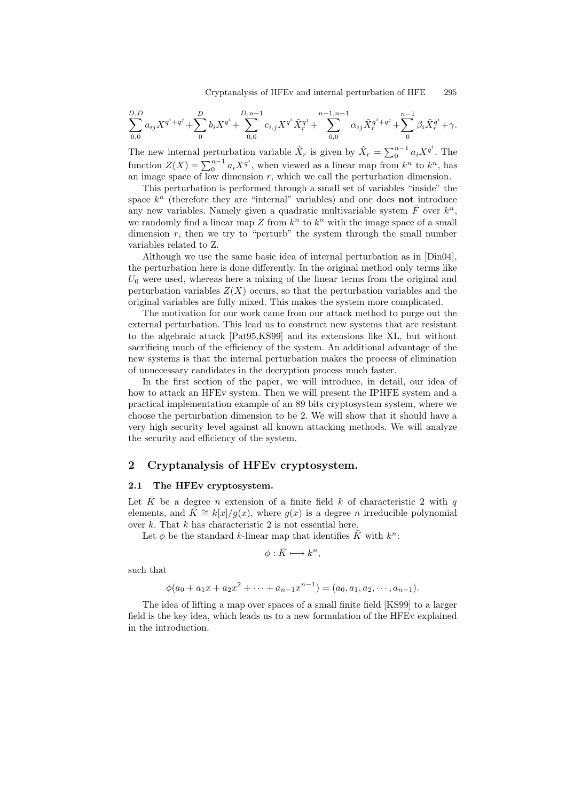$$
\sum_{0,0}^{D,D} a_{ij} X^{q^i+q^j} + \sum_{0}^{D} b_i X^{q^i} + \sum_{0,0}^{D,n-1} c_{i,j} X^{q^i} \tilde{X}^{q^j}_r + \sum_{0,0}^{n-1,n-1} \alpha_{ij} \tilde{X}^{q^i+q^j}_r + \sum_{0}^{n-1} \beta_i \tilde{X}^{q^i}_r + \gamma.
$$

The new internal perturbation variable  $\tilde{X}_r$  is given by  $\tilde{X}_r = \sum_0^{n-1} a_i X^{q^i}$ . The function  $Z(X) = \sum_{0}^{n-1} a_i X^{q^i}$ , when viewed as a linear map from  $k^n$  to  $k^n$ , has an image space of low dimension  $r$ , which we call the perturbation dimension.

This perturbation is performed through a small set of variables "inside" the space  $k<sup>n</sup>$  (therefore they are "internal" variables) and one does **not** introduce any new variables. Namely given a quadratic multivariable system  $\overline{F}$  over  $k^n$ , we randomly find a linear map  $Z$  from  $k^n$  to  $k^n$  with the image space of a small dimension  $r$ , then we try to "perturb" the system through the small number variables related to Z.

Although we use the same basic idea of internal perturbation as in [Din04], the perturbation here is done differently. In the original method only terms like  $U_0$  were used, whereas here a mixing of the linear terms from the original and perturbation variables  $Z(X)$  occurs, so that the perturbation variables and the original variables are fully mixed. This makes the system more complicated.

The motivation for our work came from our attack method to purge out the external perturbation. This lead us to construct new systems that are resistant to the algebraic attack [Pat95,KS99] and its extensions like XL, but without sacrificing much of the efficiency of the system. An additional advantage of the new systems is that the internal perturbation makes the process of elimination of unnecessary candidates in the decryption process much faster.

In the first section of the paper, we will introduce, in detail, our idea of how to attack an HFEv system. Then we will present the IPHFE system and a practical implementation example of an 89 bits cryptosystem system, where we choose the perturbation dimension to be 2. We will show that it should have a very high security level against all known attacking methods. We will analyze the security and efficiency of the system.

# 2 Cryptanalysis of HFEv cryptosystem.

### 2.1 The HFEv cryptosystem.

Let  $\overline{K}$  be a degree n extension of a finite field k of characteristic 2 with q elements, and  $\bar{K} \cong k[x]/g(x)$ , where  $g(x)$  is a degree n irreducible polynomial over  $k$ . That  $k$  has characteristic 2 is not essential here.

Let  $\phi$  be the standard k-linear map that identifies  $\bar{K}$  with  $k^n$ :

$$
\phi: \bar{K} \longmapsto k^n,
$$

such that

$$
\phi(a_0 + a_1x + a_2x^2 + \dots + a_{n-1}x^{n-1}) = (a_0, a_1, a_2, \dots, a_{n-1}).
$$

The idea of lifting a map over spaces of a small finite field [KS99] to a larger field is the key idea, which leads us to a new formulation of the HFEv explained in the introduction.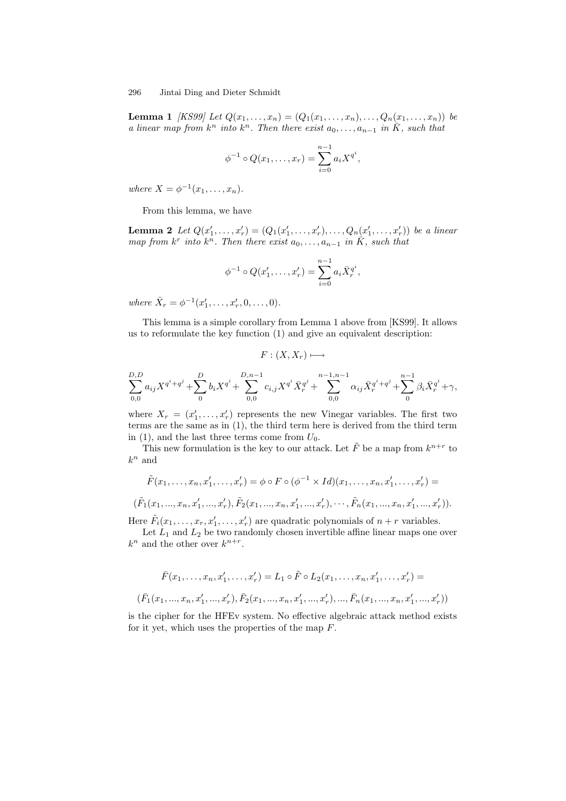**Lemma 1** [KS99] Let  $Q(x_1, ..., x_n) = (Q_1(x_1, ..., x_n), ..., Q_n(x_1, ..., x_n))$  be a linear map from  $k^n$  into  $k^n$ . Then there exist  $a_0, \ldots, a_{n-1}$  in  $\overline{K}$ , such that

$$
\phi^{-1} \circ Q(x_1, \dots, x_r) = \sum_{i=0}^{n-1} a_i X^{q^i},
$$

where  $X = \phi^{-1}(x_1, ..., x_n)$ .

From this lemma, we have

**Lemma 2** Let  $Q(x'_1, ..., x'_r) = (Q_1(x'_1, ..., x'_r), ..., Q_n(x'_1, ..., x'_r))$  be a linear map from  $k^r$  into  $k^n$ . Then there exist  $a_0, \ldots, a_{n-1}$  in  $\overline{K}$ , such that

$$
\phi^{-1} \circ Q(x'_1, \dots, x'_r) = \sum_{i=0}^{n-1} a_i \bar{X}_r^{q^i},
$$

where  $\bar{X}_r = \phi^{-1}(x'_1, \ldots, x'_r, 0, \ldots, 0).$ 

This lemma is a simple corollary from Lemma 1 above from [KS99]. It allows us to reformulate the key function (1) and give an equivalent description:

$$
F:(X,X_r)\longmapsto
$$

$$
\sum_{0,0}^{D,D} a_{ij} X^{q^i+q^j} + \sum_{0}^{D} b_i X^{q^i} + \sum_{0,0}^{D,n-1} c_{i,j} X^{q^i} \bar{X}_r^{q^j} + \sum_{0,0}^{n-1,n-1} \alpha_{ij} \bar{X}_r^{q^i+q^j} + \sum_{0}^{n-1} \beta_i \bar{X}_r^{q^i} + \gamma,
$$

where  $X_r = (x'_1, \ldots, x'_r)$  represents the new Vinegar variables. The first two terms are the same as in (1), the third term here is derived from the third term in (1), and the last three terms come from  $U_0$ .

This new formulation is the key to our attack. Let  $\tilde{F}$  be a map from  $k^{n+r}$  to  $k^n$  and

$$
\tilde{F}(x_1, \ldots, x_n, x'_1, \ldots, x'_r) = \phi \circ F \circ (\phi^{-1} \times Id)(x_1, \ldots, x_n, x'_1, \ldots, x'_r) =
$$
  

$$
(\tilde{F}_1(x_1, \ldots, x_n, x'_1, \ldots, x'_r), \tilde{F}_2(x_1, \ldots, x_n, x'_1, \ldots, x'_r), \cdots, \tilde{F}_n(x_1, \ldots, x_n, x'_1, \ldots, x'_r)).
$$

Here  $\tilde{F}_i(x_1,\ldots,x_r,x'_1,\ldots,x'_r)$  are quadratic polynomials of  $n+r$  variables.

Let  $L_1$  and  $L_2$  be two randomly chosen invertible affine linear maps one over  $k^n$  and the other over  $k^{n+r}$ .

$$
\bar{F}(x_1, \ldots, x_n, x'_1, \ldots, x'_r) = L_1 \circ \tilde{F} \circ L_2(x_1, \ldots, x_n, x'_1, \ldots, x'_r) =
$$
  

$$
(\bar{F}_1(x_1, \ldots, x_n, x'_1, \ldots, x'_r), \bar{F}_2(x_1, \ldots, x_n, x'_1, \ldots, x'_r), \ldots, \bar{F}_n(x_1, \ldots, x_n, x'_1, \ldots, x'_r))
$$

is the cipher for the HFEv system. No effective algebraic attack method exists for it yet, which uses the properties of the map  $F$ .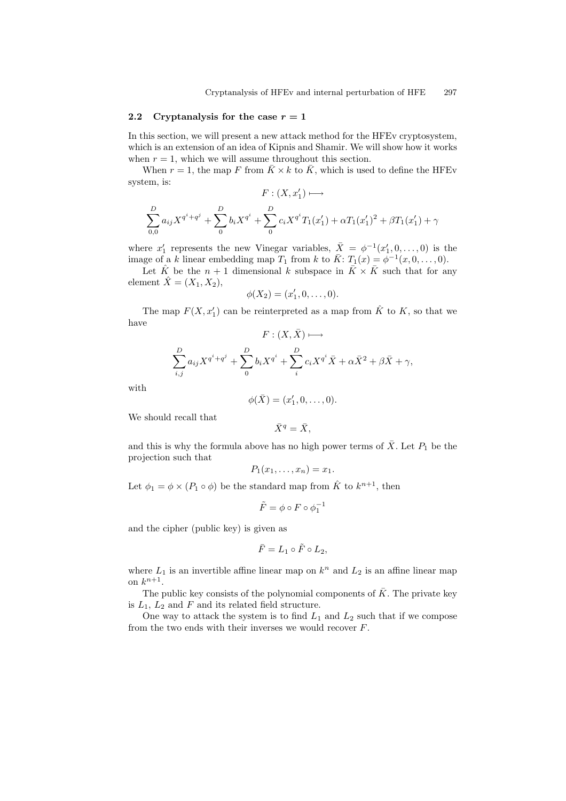#### 2.2 Cryptanalysis for the case  $r = 1$

In this section, we will present a new attack method for the HFEv cryptosystem, which is an extension of an idea of Kipnis and Shamir. We will show how it works when  $r = 1$ , which we will assume throughout this section.

When  $r = 1$ , the map F from  $\bar{K} \times k$  to  $\bar{K}$ , which is used to define the HFEv system, is:

$$
F: (X, x_1') \longmapsto
$$
  

$$
\sum_{0,0}^{D} a_{ij} X^{q^i + q^j} + \sum_{0}^{D} b_i X^{q^i} + \sum_{0}^{D} c_i X^{q^i} T_1(x_1') + \alpha T_1(x_1')^2 + \beta T_1(x_1') + \gamma
$$

where  $x'_1$  represents the new Vinegar variables,  $\overline{X} = \phi^{-1}(x'_1, 0, \ldots, 0)$  is the image of a k linear embedding map  $T_1$  from k to  $\bar{K}$ :  $T_1(x) = \phi^{-1}(x, 0, \ldots, 0)$ .

Let  $\hat{K}$  be the  $n + 1$  dimensional k subspace in  $\bar{K} \times \bar{K}$  such that for any element  $\hat{X} = (X_1, X_2),$ 

$$
\phi(X_2) = (x'_1, 0, \dots, 0).
$$

The map  $F(X, x_1')$  can be reinterpreted as a map from  $\hat{K}$  to  $K$ , so that we have  $F \cdot (X, \bar{X}) \longmapsto$ 

$$
\sum_{i,j}^{D} a_{ij} X^{q^i+q^j} + \sum_{0}^{D} b_i X^{q^i} + \sum_{i}^{D} c_i X^{q^i} \overline{X} + \alpha \overline{X}^2 + \beta \overline{X} + \gamma,
$$

with

$$
\phi(\bar{X})=(x'_1,0,\ldots,0).
$$

We should recall that

$$
\bar{X}^q = \bar{X},
$$

and this is why the formula above has no high power terms of  $\overline{X}$ . Let  $P_1$  be the projection such that

$$
P_1(x_1,\ldots,x_n)=x_1.
$$

Let  $\phi_1 = \phi \times (P_1 \circ \phi)$  be the standard map from  $\hat{K}$  to  $k^{n+1}$ , then

$$
\tilde{F}=\phi\circ F\circ \phi_1^{-1}
$$

and the cipher (public key) is given as

$$
\bar{F} = L_1 \circ \tilde{F} \circ L_2,
$$

where  $L_1$  is an invertible affine linear map on  $k^n$  and  $L_2$  is an affine linear map on  $k^{n+1}$ .

The public key consists of the polynomial components of  $\overline{K}$ . The private key is  $L_1$ ,  $L_2$  and  $F$  and its related field structure.

One way to attack the system is to find  $L_1$  and  $L_2$  such that if we compose from the two ends with their inverses we would recover  $F$ .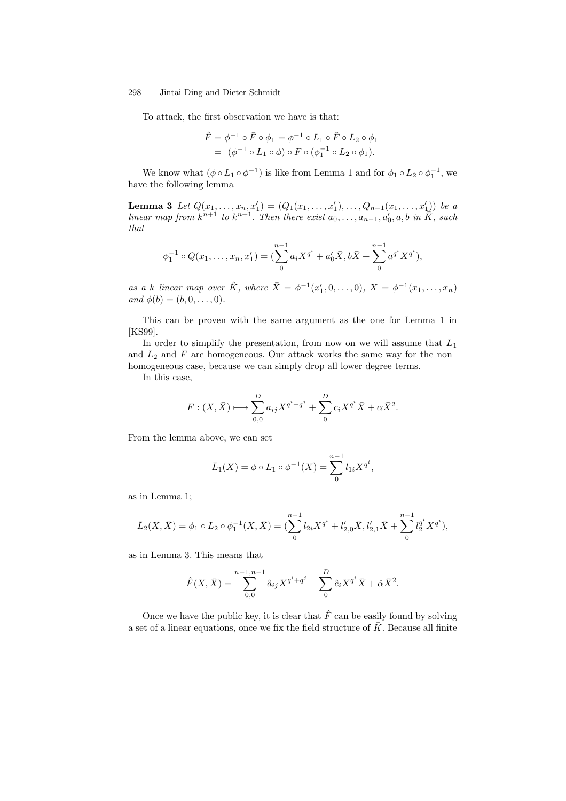To attack, the first observation we have is that:

$$
\hat{F} = \phi^{-1} \circ \bar{F} \circ \phi_1 = \phi^{-1} \circ L_1 \circ \tilde{F} \circ L_2 \circ \phi_1
$$
  
= 
$$
(\phi^{-1} \circ L_1 \circ \phi) \circ F \circ (\phi_1^{-1} \circ L_2 \circ \phi_1).
$$

We know what  $(\phi \circ L_1 \circ \phi^{-1})$  is like from Lemma 1 and for  $\phi_1 \circ L_2 \circ \phi_1^{-1}$ , we have the following lemma

**Lemma 3** Let  $Q(x_1, ..., x_n, x_1') = (Q_1(x_1, ..., x_1'), ..., Q_{n+1}(x_1, ..., x_1'))$  be a linear map from  $k^{n+1}$  to  $k^{n+1}$ . Then there exist  $a_0, \ldots, a_{n-1}, a'_0, a, b$  in  $\overline{K}$ , such that

$$
\phi_1^{-1} \circ Q(x_1, \dots, x_n, x_1') = \left(\sum_0^{n-1} a_i X^{q^i} + a'_0 \bar{X}, b \bar{X} + \sum_0^{n-1} a^{q^i} X^{q^i}\right),
$$

as a k linear map over  $\hat{K}$ , where  $\bar{X} = \phi^{-1}(x'_1, 0, \ldots, 0)$ ,  $X = \phi^{-1}(x_1, \ldots, x_n)$ and  $\phi(b) = (b, 0, \ldots, 0).$ 

This can be proven with the same argument as the one for Lemma 1 in [KS99].

In order to simplify the presentation, from now on we will assume that  $L_1$ and  $L_2$  and F are homogeneous. Our attack works the same way for the non– homogeneous case, because we can simply drop all lower degree terms.

In this case,

$$
F: (X, \bar{X}) \longmapsto \sum_{0,0}^{D} a_{ij} X^{q^i + q^j} + \sum_{0}^{D} c_i X^{q^i} \bar{X} + \alpha \bar{X}^2.
$$

From the lemma above, we can set

$$
\bar{L}_1(X) = \phi \circ L_1 \circ \phi^{-1}(X) = \sum_{0}^{n-1} l_{1i} X^{q^i},
$$

as in Lemma 1;

$$
\bar{L}_2(X,\bar{X}) = \phi_1 \circ L_2 \circ \phi_1^{-1}(X,\bar{X}) = \left(\sum_0^{n-1} l_{2i} X^{q^i} + l'_{2,0} \bar{X}, l'_{2,1} \bar{X} + \sum_0^{n-1} l_2^{q^i} X^{q^i}\right),
$$

as in Lemma 3. This means that

$$
\hat{F}(X,\bar{X}) = \sum_{0,0}^{n-1,n-1} \hat{a}_{ij} X^{q^i+q^j} + \sum_{0}^{D} \hat{c}_i X^{q^i} \bar{X} + \hat{\alpha} \bar{X}^2.
$$

Once we have the public key, it is clear that  $\hat{F}$  can be easily found by solving a set of a linear equations, once we fix the field structure of  $\bar{K}$ . Because all finite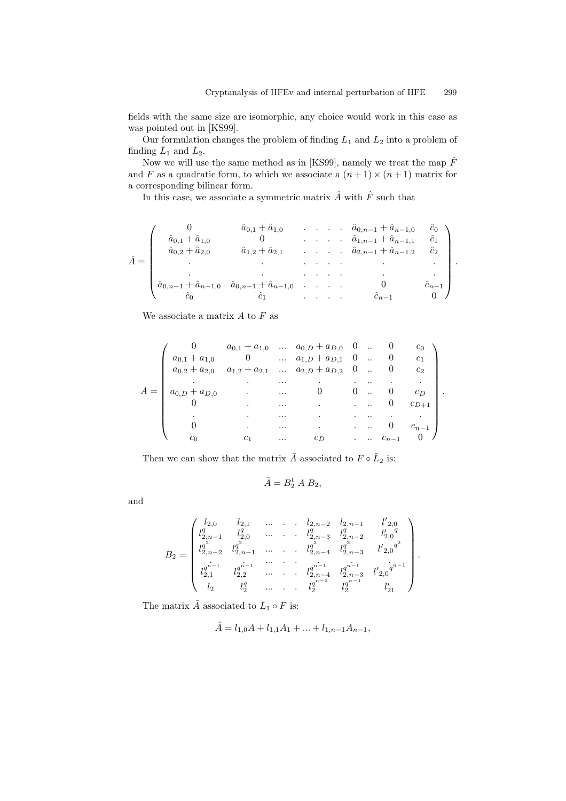fields with the same size are isomorphic, any choice would work in this case as was pointed out in [KS99].

Our formulation changes the problem of finding  $L_1$  and  $L_2$  into a problem of finding  $\bar{L}_1$  and  $\bar{L}_2$ .

Now we will use the same method as in [KS99], namely we treat the map  $\hat{F}$ and F as a quadratic form, to which we associate a  $(n+1) \times (n+1)$  matrix for a corresponding bilinear form.

In this case, we associate a symmetric matrix  $\hat{A}$  with  $\hat{F}$  such that

$$
\hat{A} = \begin{pmatrix}\n0 & \hat{a}_{0,1} + \hat{a}_{1,0} & \dots & \hat{a}_{0,n-1} + \hat{a}_{n-1,0} & \hat{c}_0 \\
\hat{a}_{0,1} + \hat{a}_{1,0} & 0 & \dots & \hat{a}_{1,n-1} + \hat{a}_{n-1,1} & \hat{c}_1 \\
\hat{a}_{0,2} + \hat{a}_{2,0} & \hat{a}_{1,2} + \hat{a}_{2,1} & \dots & \hat{a}_{2,n-1} + \hat{a}_{n-1,2} & \hat{c}_2 \\
\vdots & \vdots & \vdots & \ddots & \vdots & \vdots \\
\hat{a}_{0,n-1} + \hat{a}_{n-1,0} & \hat{a}_{0,n-1} + \hat{a}_{n-1,0} & \dots & 0 & \hat{c}_{n-1} \\
\hat{c}_0 & \hat{c}_1 & \hat{c}_{n-1} & 0\n\end{pmatrix}.
$$

We associate a matrix  $A$  to  $F$  as

|                     |          |          | $a_{0,1} + a_{1,0} \dots a_{0,D} + a_{D,0} 0 \dots$           |   |           |           | $c_0$     |  |
|---------------------|----------|----------|---------------------------------------------------------------|---|-----------|-----------|-----------|--|
| $a_{0,1} + a_{1,0}$ | $\theta$ |          | $a_{1,D} + a_{D,1} = 0$                                       |   |           |           | $c_1$     |  |
|                     |          |          | $a_{0,2} + a_{2,0}$ $a_{1,2} + a_{2,1}$ $a_{2,D} + a_{D,2}$ 0 |   |           |           | $c_2$     |  |
|                     |          |          |                                                               |   |           |           |           |  |
| $a_{0,D} + a_{D,0}$ |          | $\cdots$ |                                                               | U | $\ddotsc$ |           | $c_D$     |  |
|                     |          | $\cdots$ |                                                               |   | $\ddotsc$ |           | $c_{D+1}$ |  |
|                     |          | $\cdots$ |                                                               |   |           |           |           |  |
|                     |          | $\cdots$ |                                                               |   | $\cdot$ . |           | $c_{n-1}$ |  |
|                     |          | $\cdots$ | $c_D$                                                         |   | $\ddotsc$ | $c_{n-1}$ |           |  |

Then we can show that the matrix  $\overline{A}$  associated to  $F \circ \overline{L}_2$  is:

$$
\bar{A} = B_2^t A B_2,
$$

and

$$
B_2=\begin{pmatrix} l_{2,0} & l_{2,1} & \ldots & \ldots & l_{2,n-2} & l_{2,n-1} & l'_{2,0} \\ l_{2,n-1}^q & l_{2,0}^q & \ldots & \ldots & l_{2,n-3}^q & l_{2,n-2}^q & l'_{2,0} \\ l_{2,n-2}^q & l_{2,n-1}^q & \ldots & \ldots & l_{2,n-4}^q & l_{2,n-3}^q & l'_{2,0} \\ \vdots & \vdots & \ddots & \vdots & \vdots & \vdots & \vdots \\ l_{2,1}^{q^{n-1}} & l_{2,2}^{q^{n-1}} & \ldots & \ldots & l_{2,n-4}^{q^{n-1}} & l_{2,n-3}^{q^{n-1}} & l'_{2,0} \\ l_2 & l_2^q & \ldots & \ldots & l_2^{q^{n-2}} & l_2^{q^{n-1}} & l'_{2,1} \\ \end{pmatrix}.
$$

The matrix  $\tilde{A}$  associated to  $\bar{L}_1 \circ F$  is:

$$
\tilde{A} = l_{1,0}A + l_{1,1}A_1 + \dots + l_{1,n-1}A_{n-1},
$$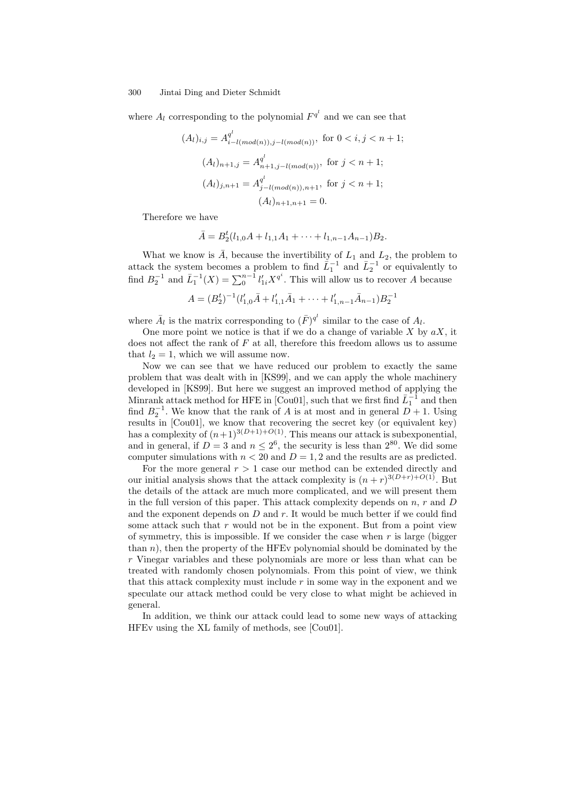where  $A_l$  corresponding to the polynomial  $F^{q^l}$  and we can see that

$$
(A_l)_{i,j} = A_{i-l(mod(n)),j-l(mod(n))}^{q^l}, \text{ for } 0 < i, j < n+1;
$$
  
\n
$$
(A_l)_{n+1,j} = A_{n+1,j-l(mod(n))}^{q^l}, \text{ for } j < n+1;
$$
  
\n
$$
(A_l)_{j,n+1} = A_{j-l(mod(n)),n+1}^{q^l}, \text{ for } j < n+1;
$$
  
\n
$$
(A_l)_{n+1,n+1} = 0.
$$

Therefore we have

$$
\bar{A} = B_2^t(l_{1,0}A + l_{1,1}A_1 + \dots + l_{1,n-1}A_{n-1})B_2.
$$

What we know is  $\overline{A}$ , because the invertibility of  $L_1$  and  $L_2$ , the problem to attack the system becomes a problem to find  $\tilde{L}_1^{-1}$  and  $\tilde{L}_2^{-1}$  or equivalently to find  $B_2^{-1}$  and  $\overline{L}_1^{-1}(X) = \sum_0^{n-1} l'_{1i} X^{q^i}$ . This will allow us to recover A because

$$
A = (B_2^t)^{-1} (l'_{1,0}\overline{A} + l'_{1,1}\overline{A}_1 + \dots + l'_{1,n-1}\overline{A}_{n-1})B_2^{-1}
$$

where  $\bar{A}_l$  is the matrix corresponding to  $(\bar{F})^{q^l}$  similar to the case of  $A_l$ .

One more point we notice is that if we do a change of variable  $X$  by  $aX$ , it does not affect the rank of  $F$  at all, therefore this freedom allows us to assume that  $l_2 = 1$ , which we will assume now.

Now we can see that we have reduced our problem to exactly the same problem that was dealt with in [KS99], and we can apply the whole machinery developed in [KS99]. But here we suggest an improved method of applying the Minrank attack method for HFE in [Cou01], such that we first find  $\overline{L}_1^{-1}$  and then find  $B_2^{-1}$ . We know that the rank of A is at most and in general  $D + 1$ . Using results in [Cou01], we know that recovering the secret key (or equivalent key) has a complexity of  $(n+1)^{3(D+1)+O(1)}$ . This means our attack is subexponential, and in general, if  $D = 3$  and  $n \leq 2^6$ , the security is less than  $2^{80}$ . We did some computer simulations with  $n < 20$  and  $D = 1, 2$  and the results are as predicted.

For the more general  $r > 1$  case our method can be extended directly and our initial analysis shows that the attack complexity is  $(n + r)^{3(D+r)+O(1)}$ . But the details of the attack are much more complicated, and we will present them in the full version of this paper. This attack complexity depends on  $n, r$  and  $D$ and the exponent depends on  $D$  and  $r$ . It would be much better if we could find some attack such that  $r$  would not be in the exponent. But from a point view of symmetry, this is impossible. If we consider the case when  $r$  is large (bigger than  $n$ ), then the property of the HFEv polynomial should be dominated by the r Vinegar variables and these polynomials are more or less than what can be treated with randomly chosen polynomials. From this point of view, we think that this attack complexity must include  $r$  in some way in the exponent and we speculate our attack method could be very close to what might be achieved in general.

In addition, we think our attack could lead to some new ways of attacking HFEv using the XL family of methods, see [Cou01].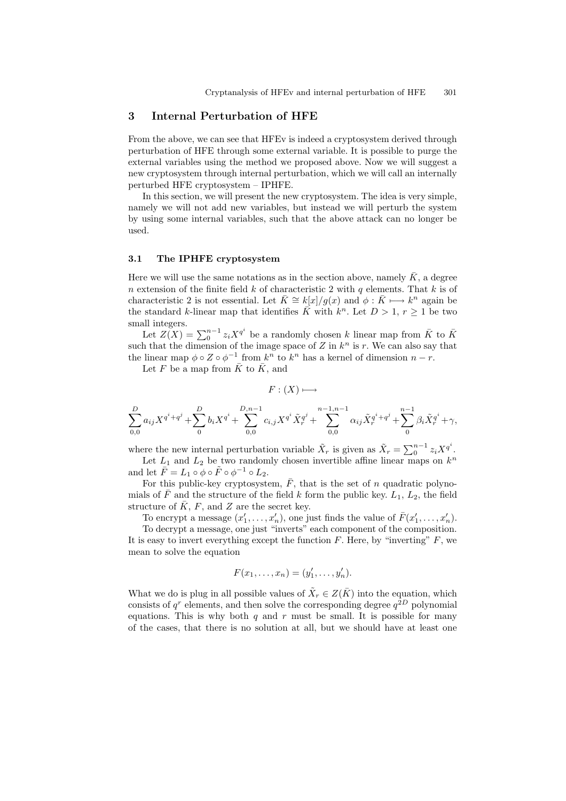# 3 Internal Perturbation of HFE

From the above, we can see that HFEv is indeed a cryptosystem derived through perturbation of HFE through some external variable. It is possible to purge the external variables using the method we proposed above. Now we will suggest a new cryptosystem through internal perturbation, which we will call an internally perturbed HFE cryptosystem – IPHFE.

In this section, we will present the new cryptosystem. The idea is very simple, namely we will not add new variables, but instead we will perturb the system by using some internal variables, such that the above attack can no longer be used.

### 3.1 The IPHFE cryptosystem

Here we will use the same notations as in the section above, namely  $\bar{K}$ , a degree n extension of the finite field  $k$  of characteristic 2 with  $q$  elements. That  $k$  is of characteristic 2 is not essential. Let  $\overline{K} \cong k[x]/g(x)$  and  $\phi : \overline{K} \longmapsto k^{n}$  again be the standard k-linear map that identifies  $\overline{K}$  with  $k^n$ . Let  $D > 1, r \ge 1$  be two small integers.

Let  $Z(X) = \sum_{0}^{n-1} z_i X^{q^i}$  be a randomly chosen k linear map from  $\overline{K}$  to  $\overline{K}$ such that the dimension of the image space of  $Z$  in  $k^n$  is r. We can also say that the linear map  $\phi \circ Z \circ \phi^{-1}$  from  $k^n$  to  $k^n$  has a kernel of dimension  $n-r$ .

Let F be a map from  $\bar{K}$  to  $\bar{K}$ , and

 $F: (X) \longmapsto$ 

$$
\sum_{0,0}^{D} a_{ij} X^{q^i+q^j} + \sum_{0}^{D} b_i X^{q^i} + \sum_{0,0}^{D,n-1} c_{i,j} X^{q^i} \tilde{X}^{q^j}_r + \sum_{0,0}^{n-1,n-1} \alpha_{ij} \tilde{X}^{q^i+q^j}_r + \sum_{0}^{n-1} \beta_i \tilde{X}^{q^i}_r + \gamma,
$$

where the new internal perturbation variable  $\tilde{X}_r$  is given as  $\tilde{X}_r = \sum_0^{n-1} z_i X^{q^i}$ .

Let  $L_1$  and  $L_2$  be two randomly chosen invertible affine linear maps on  $k^n$ and let  $\bar{F} = L_1 \circ \phi \circ \tilde{F} \circ \phi^{-1} \circ L_2$ .

For this public-key cryptosystem,  $\overline{F}$ , that is the set of n quadratic polynomials of  $\overline{F}$  and the structure of the field k form the public key.  $L_1$ ,  $L_2$ , the field structure of  $\overline{K}$ ,  $F$ , and  $Z$  are the secret key.

To encrypt a message  $(x'_1, \ldots, x'_n)$ , one just finds the value of  $\bar{F}(x'_1, \ldots, x'_n)$ .

To decrypt a message, one just "inverts" each component of the composition. It is easy to invert everything except the function  $F$ . Here, by "inverting"  $F$ , we mean to solve the equation

$$
F(x_1,\ldots,x_n)=(y'_1,\ldots,y'_n).
$$

What we do is plug in all possible values of  $\tilde{X}_r \in Z(\bar{K})$  into the equation, which consists of  $q^r$  elements, and then solve the corresponding degree  $q^{2D}$  polynomial equations. This is why both q and r must be small. It is possible for many of the cases, that there is no solution at all, but we should have at least one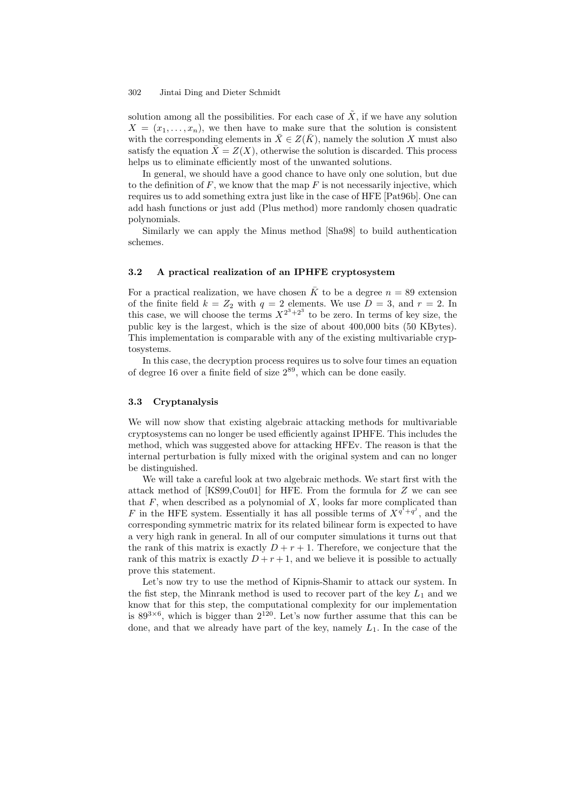solution among all the possibilities. For each case of  $\tilde{X}$ , if we have any solution  $X = (x_1, \ldots, x_n)$ , we then have to make sure that the solution is consistent with the corresponding elements in  $\bar{X} \in Z(\bar{K})$ , namely the solution X must also satisfy the equation  $\bar{X} = Z(X)$ , otherwise the solution is discarded. This process helps us to eliminate efficiently most of the unwanted solutions.

In general, we should have a good chance to have only one solution, but due to the definition of  $F$ , we know that the map  $F$  is not necessarily injective, which requires us to add something extra just like in the case of HFE [Pat96b]. One can add hash functions or just add (Plus method) more randomly chosen quadratic polynomials.

Similarly we can apply the Minus method [Sha98] to build authentication schemes.

### 3.2 A practical realization of an IPHFE cryptosystem

For a practical realization, we have chosen  $\overline{K}$  to be a degree  $n = 89$  extension of the finite field  $k = Z_2$  with  $q = 2$  elements. We use  $D = 3$ , and  $r = 2$ . In this case, we will choose the terms  $X^{2^3+2^3}$  to be zero. In terms of key size, the public key is the largest, which is the size of about 400,000 bits (50 KBytes). This implementation is comparable with any of the existing multivariable cryptosystems.

In this case, the decryption process requires us to solve four times an equation of degree 16 over a finite field of size  $2^{89}$ , which can be done easily.

### 3.3 Cryptanalysis

We will now show that existing algebraic attacking methods for multivariable cryptosystems can no longer be used efficiently against IPHFE. This includes the method, which was suggested above for attacking HFEv. The reason is that the internal perturbation is fully mixed with the original system and can no longer be distinguished.

We will take a careful look at two algebraic methods. We start first with the attack method of [KS99,Cou01] for HFE. From the formula for Z we can see that  $F$ , when described as a polynomial of  $X$ , looks far more complicated than F in the HFE system. Essentially it has all possible terms of  $X^{q^{\bar{i}}+q^j}$ , and the corresponding symmetric matrix for its related bilinear form is expected to have a very high rank in general. In all of our computer simulations it turns out that the rank of this matrix is exactly  $D + r + 1$ . Therefore, we conjecture that the rank of this matrix is exactly  $D + r + 1$ , and we believe it is possible to actually prove this statement.

Let's now try to use the method of Kipnis-Shamir to attack our system. In the fist step, the Minrank method is used to recover part of the key  $L_1$  and we know that for this step, the computational complexity for our implementation is  $89^{3\times6}$ , which is bigger than  $2^{120}$ . Let's now further assume that this can be done, and that we already have part of the key, namely  $L_1$ . In the case of the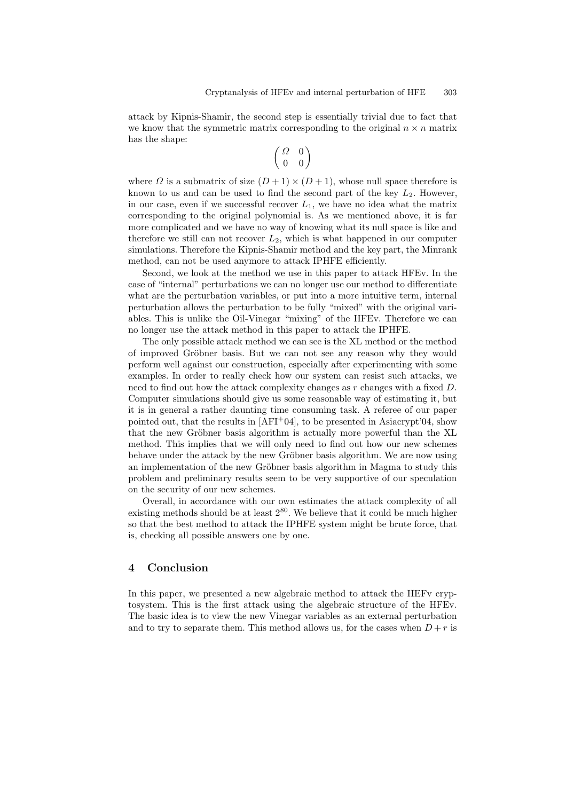attack by Kipnis-Shamir, the second step is essentially trivial due to fact that we know that the symmetric matrix corresponding to the original  $n \times n$  matrix has the shape:

$$
\left(\begin{matrix} \varOmega & 0 \\ 0 & 0 \end{matrix}\right)
$$

where  $\Omega$  is a submatrix of size  $(D+1) \times (D+1)$ , whose null space therefore is known to us and can be used to find the second part of the key  $L_2$ . However, in our case, even if we successful recover  $L_1$ , we have no idea what the matrix corresponding to the original polynomial is. As we mentioned above, it is far more complicated and we have no way of knowing what its null space is like and therefore we still can not recover  $L_2$ , which is what happened in our computer simulations. Therefore the Kipnis-Shamir method and the key part, the Minrank method, can not be used anymore to attack IPHFE efficiently.

Second, we look at the method we use in this paper to attack HFEv. In the case of "internal" perturbations we can no longer use our method to differentiate what are the perturbation variables, or put into a more intuitive term, internal perturbation allows the perturbation to be fully "mixed" with the original variables. This is unlike the Oil-Vinegar "mixing" of the HFEv. Therefore we can no longer use the attack method in this paper to attack the IPHFE.

The only possible attack method we can see is the XL method or the method of improved Gröbner basis. But we can not see any reason why they would perform well against our construction, especially after experimenting with some examples. In order to really check how our system can resist such attacks, we need to find out how the attack complexity changes as r changes with a fixed D. Computer simulations should give us some reasonable way of estimating it, but it is in general a rather daunting time consuming task. A referee of our paper pointed out, that the results in [AFI<sup>+</sup>04], to be presented in Asiacrypt'04, show that the new Gröbner basis algorithm is actually more powerful than the XL method. This implies that we will only need to find out how our new schemes behave under the attack by the new Gröbner basis algorithm. We are now using an implementation of the new Gröbner basis algorithm in Magma to study this problem and preliminary results seem to be very supportive of our speculation on the security of our new schemes.

Overall, in accordance with our own estimates the attack complexity of all existing methods should be at least  $2^{80}$ . We believe that it could be much higher so that the best method to attack the IPHFE system might be brute force, that is, checking all possible answers one by one.

## 4 Conclusion

In this paper, we presented a new algebraic method to attack the HEFv cryptosystem. This is the first attack using the algebraic structure of the HFEv. The basic idea is to view the new Vinegar variables as an external perturbation and to try to separate them. This method allows us, for the cases when  $D + r$  is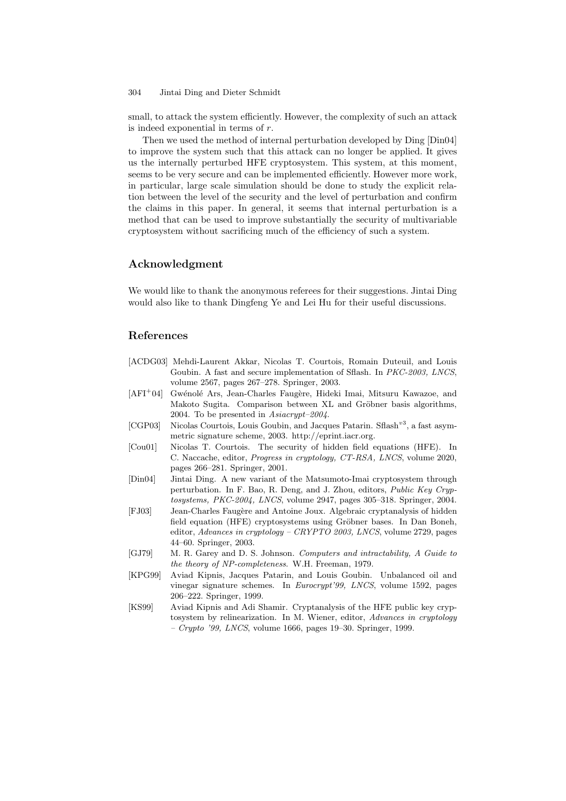small, to attack the system efficiently. However, the complexity of such an attack is indeed exponential in terms of r.

Then we used the method of internal perturbation developed by Ding [Din04] to improve the system such that this attack can no longer be applied. It gives us the internally perturbed HFE cryptosystem. This system, at this moment, seems to be very secure and can be implemented efficiently. However more work, in particular, large scale simulation should be done to study the explicit relation between the level of the security and the level of perturbation and confirm the claims in this paper. In general, it seems that internal perturbation is a method that can be used to improve substantially the security of multivariable cryptosystem without sacrificing much of the efficiency of such a system.

### Acknowledgment

We would like to thank the anonymous referees for their suggestions. Jintai Ding would also like to thank Dingfeng Ye and Lei Hu for their useful discussions.

## References

- [ACDG03] Mehdi-Laurent Akkar, Nicolas T. Courtois, Romain Duteuil, and Louis Goubin. A fast and secure implementation of Sflash. In PKC-2003, LNCS, volume 2567, pages 267–278. Springer, 2003.
- [AFI<sup>+</sup>04] Gwénolé Ars, Jean-Charles Faugère, Hideki Imai, Mitsuru Kawazoe, and Makoto Sugita. Comparison between XL and Gröbner basis algorithms, 2004. To be presented in Asiacrypt–2004.
- [CGP03] Nicolas Courtois, Louis Goubin, and Jacques Patarin. Sflash<sup>v3</sup>, a fast asymmetric signature scheme, 2003. http://eprint.iacr.org.
- [Cou01] Nicolas T. Courtois. The security of hidden field equations (HFE). In C. Naccache, editor, Progress in cryptology, CT-RSA, LNCS, volume 2020, pages 266–281. Springer, 2001.
- [Din04] Jintai Ding. A new variant of the Matsumoto-Imai cryptosystem through perturbation. In F. Bao, R. Deng, and J. Zhou, editors, Public Key Cryptosystems, PKC-2004, LNCS, volume 2947, pages 305–318. Springer, 2004.
- [FJ03] Jean-Charles Faugère and Antoine Joux. Algebraic cryptanalysis of hidden field equation (HFE) cryptosystems using Gröbner bases. In Dan Boneh, editor, Advances in cryptology – CRYPTO 2003, LNCS, volume 2729, pages 44–60. Springer, 2003.
- [GJ79] M. R. Garey and D. S. Johnson. Computers and intractability, A Guide to the theory of NP-completeness. W.H. Freeman, 1979.
- [KPG99] Aviad Kipnis, Jacques Patarin, and Louis Goubin. Unbalanced oil and vinegar signature schemes. In Eurocrypt'99, LNCS, volume 1592, pages 206–222. Springer, 1999.
- [KS99] Aviad Kipnis and Adi Shamir. Cryptanalysis of the HFE public key cryptosystem by relinearization. In M. Wiener, editor, Advances in cryptology – Crypto '99, LNCS, volume 1666, pages 19–30. Springer, 1999.